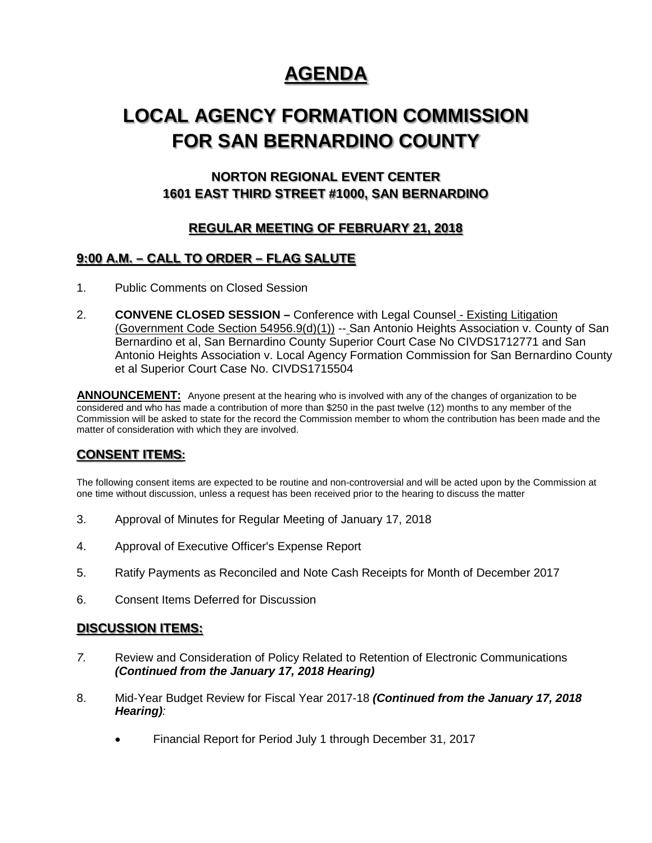# **AGENDA**

# **LOCAL AGENCY FORMATION COMMISSION FOR SAN BERNARDINO COUNTY**

## **NORTON REGIONAL EVENT CENTER 1601 EAST THIRD STREET #1000, SAN BERNARDINO**

## **REGULAR MEETING OF FEBRUARY 21, 2018**

### **9:00 A.M. – CALL TO ORDER – FLAG SALUTE**

- 1. Public Comments on Closed Session
- 2. **CONVENE CLOSED SESSION –** Conference with Legal Counsel Existing Litigation (Government Code Section 54956.9(d)(1)) -- San Antonio Heights Association v. County of San Bernardino et al, San Bernardino County Superior Court Case No CIVDS1712771 and San Antonio Heights Association v. Local Agency Formation Commission for San Bernardino County et al Superior Court Case No. CIVDS1715504

**ANNOUNCEMENT:** Anyone present at the hearing who is involved with any of the changes of organization to be considered and who has made a contribution of more than \$250 in the past twelve (12) months to any member of the Commission will be asked to state for the record the Commission member to whom the contribution has been made and the matter of consideration with which they are involved.

### **CONSENT ITEMS:**

The following consent items are expected to be routine and non-controversial and will be acted upon by the Commission at one time without discussion, unless a request has been received prior to the hearing to discuss the matter

- 3. Approval of Minutes for Regular Meeting of January 17, 2018
- 4. Approval of Executive Officer's Expense Report
- 5. Ratify Payments as Reconciled and Note Cash Receipts for Month of December 2017
- 6. Consent Items Deferred for Discussion

#### **DISCUSSION ITEMS:**

- *7.* Review and Consideration of Policy Related to Retention of Electronic Communications *(Continued from the January 17, 2018 Hearing)*
- 8. Mid-Year Budget Review for Fiscal Year 2017-18 *(Continued from the January 17, 2018 Hearing):*
	- Financial Report for Period July 1 through December 31, 2017